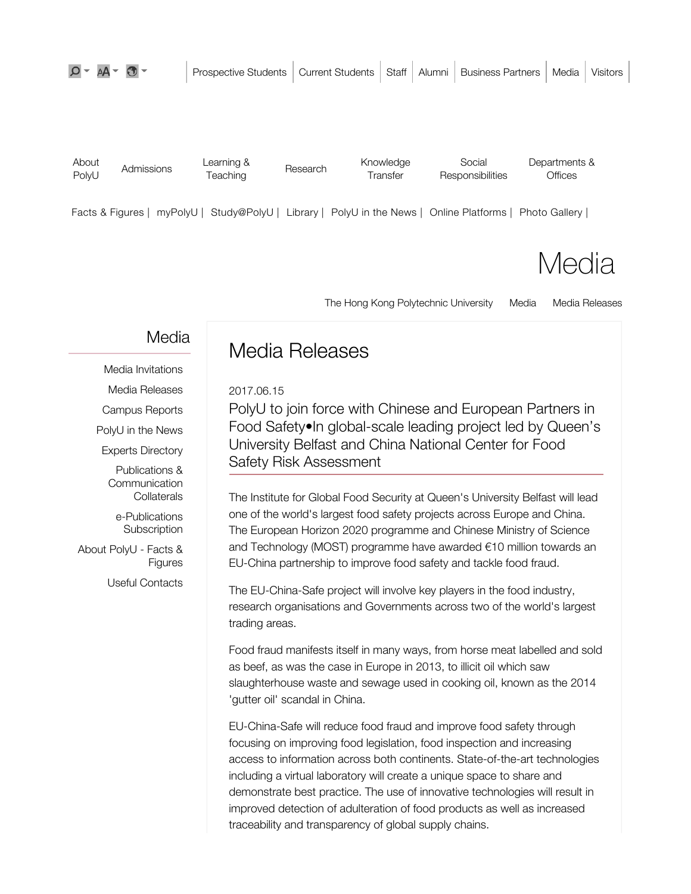| About<br>PolyU | Admissions | Learning &<br><i>Feaching</i> | Research | Knowledge<br><b>Fransfer</b> | Social<br>Responsibilities | Departments &<br>Offices |
|----------------|------------|-------------------------------|----------|------------------------------|----------------------------|--------------------------|
|                |            |                               |          |                              |                            |                          |

Facts & Figures | myPolyU | Study@PolyU | Library | PolyU in the News | Online Platforms | Photo Gallery |

**Media** 

The Hong Kong Polytechnic University Media Media Releases

## Media

Media Invitations Media Releases Campus Reports

PolyU in the News

Experts Directory

Publications & **Communication Collaterals** 

e-Publications **Subscription** 

About PolyU - Facts & Figures

Useful Contacts

# Media Releases

2017.06.15

PolyU to join force with Chinese and European Partners in Food Safety•In global-scale leading project led by Queen's University Belfast and China National Center for Food Safety Risk Assessment

The Institute for Global Food Security at Queen's University Belfast will lead one of the world's largest food safety projects across Europe and China. The European Horizon 2020 programme and Chinese Ministry of Science and Technology (MOST) programme have awarded €10 million towards an EU-China partnership to improve food safety and tackle food fraud.

The EU-China-Safe project will involve key players in the food industry, research organisations and Governments across two of the world's largest trading areas.

Food fraud manifests itself in many ways, from horse meat labelled and sold as beef, as was the case in Europe in 2013, to illicit oil which saw slaughterhouse waste and sewage used in cooking oil, known as the 2014 'gutter oil' scandal in China.

EU-China-Safe will reduce food fraud and improve food safety through focusing on improving food legislation, food inspection and increasing access to information across both continents. State-of-the-art technologies including a virtual laboratory will create a unique space to share and demonstrate best practice. The use of innovative technologies will result in improved detection of adulteration of food products as well as increased traceability and transparency of global supply chains.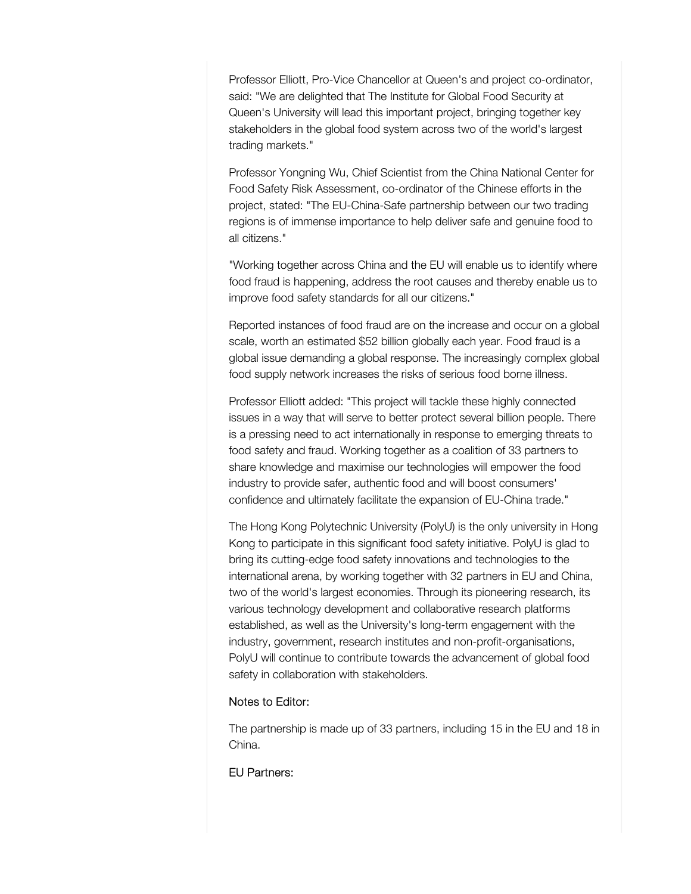Professor Elliott, Pro-Vice Chancellor at Queen's and project co-ordinator, said: "We are delighted that The Institute for Global Food Security at Queen's University will lead this important project, bringing together key stakeholders in the global food system across two of the world's largest trading markets."

Professor Yongning Wu, Chief Scientist from the China National Center for Food Safety Risk Assessment, co-ordinator of the Chinese efforts in the project, stated: "The EU-China-Safe partnership between our two trading regions is of immense importance to help deliver safe and genuine food to all citizens."

"Working together across China and the EU will enable us to identify where food fraud is happening, address the root causes and thereby enable us to improve food safety standards for all our citizens."

Reported instances of food fraud are on the increase and occur on a global scale, worth an estimated \$52 billion globally each year. Food fraud is a global issue demanding a global response. The increasingly complex global food supply network increases the risks of serious food borne illness.

Professor Elliott added: "This project will tackle these highly connected issues in a way that will serve to better protect several billion people. There is a pressing need to act internationally in response to emerging threats to food safety and fraud. Working together as a coalition of 33 partners to share knowledge and maximise our technologies will empower the food industry to provide safer, authentic food and will boost consumers' confidence and ultimately facilitate the expansion of EU-China trade."

The Hong Kong Polytechnic University (PolyU) is the only university in Hong Kong to participate in this significant food safety initiative. PolyU is glad to bring its cutting-edge food safety innovations and technologies to the international arena, by working together with 32 partners in EU and China, two of the world's largest economies. Through its pioneering research, its various technology development and collaborative research platforms established, as well as the University's long-term engagement with the industry, government, research institutes and non-profit-organisations, PolyU will continue to contribute towards the advancement of global food safety in collaboration with stakeholders.

#### Notes to Editor:

The partnership is made up of 33 partners, including 15 in the EU and 18 in China.

### EU Partners: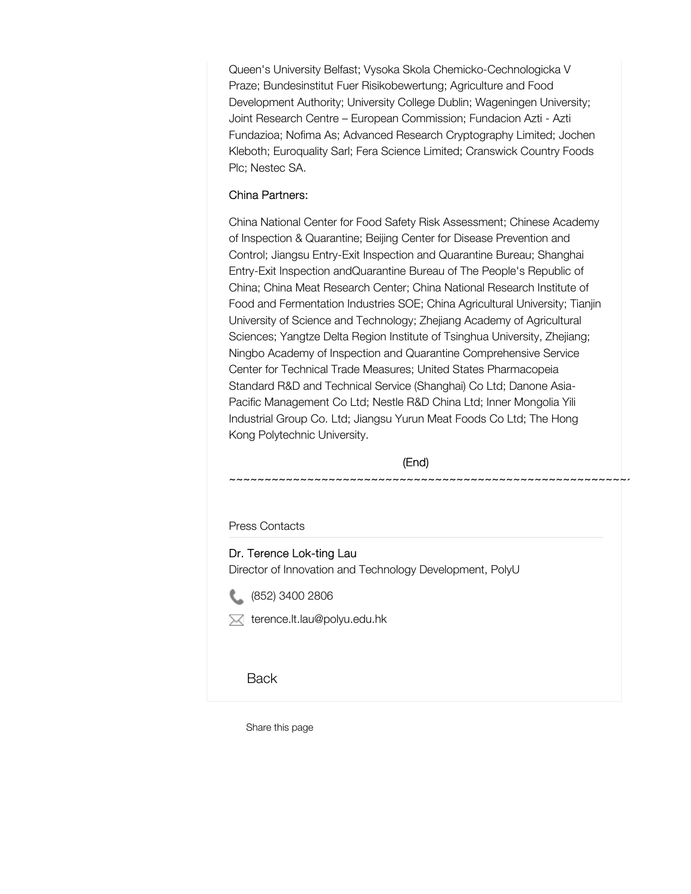Queen's University Belfast; Vysoka Skola Chemicko-Cechnologicka V Praze; Bundesinstitut Fuer Risikobewertung; Agriculture and Food Development Authority; University College Dublin; Wageningen University; Joint Research Centre – European Commission; Fundacion Azti - Azti Fundazioa; Nofima As; Advanced Research Cryptography Limited; Jochen Kleboth; Euroquality Sarl; Fera Science Limited; Cranswick Country Foods Plc; Nestec SA.

### China Partners:

China National Center for Food Safety Risk Assessment; Chinese Academy of Inspection & Quarantine; Beijing Center for Disease Prevention and Control; Jiangsu Entry-Exit Inspection and Quarantine Bureau; Shanghai Entry-Exit Inspection andQuarantine Bureau of The People's Republic of China; China Meat Research Center; China National Research Institute of Food and Fermentation Industries SOE; China Agricultural University; Tianjin University of Science and Technology; Zhejiang Academy of Agricultural Sciences; Yangtze Delta Region Institute of Tsinghua University, Zhejiang; Ningbo Academy of Inspection and Quarantine Comprehensive Service Center for Technical Trade Measures; United States Pharmacopeia Standard R&D and Technical Service (Shanghai) Co Ltd; Danone Asia-Pacific Management Co Ltd; Nestle R&D China Ltd; Inner Mongolia Yili Industrial Group Co. Ltd; Jiangsu Yurun Meat Foods Co Ltd; The Hong Kong Polytechnic University.

(End)

~~~~~~~~~~~~~~~~~~~~~~~~~~~~~~~~~~~~~~~~~~~~~~~~~~~~~~~~~~~~~~~~~~~~~~~~~~~

Press Contacts

### Dr. Terence Lok-ting Lau

Director of Innovation and Technology Development, PolyU



 $\boxtimes$  terence.lt.lau@polyu.edu.hk

**Back** 

Share this page